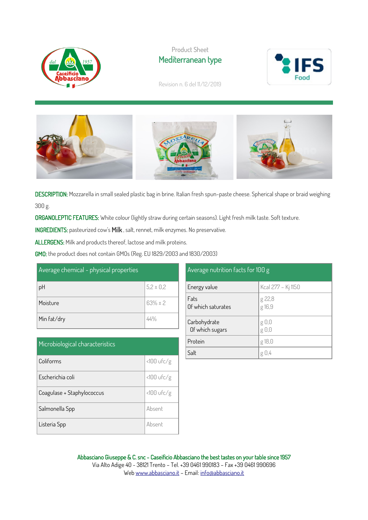

Product Sheet Mediterranean type



Revision n. 6 del 11/12/2019



DESCRIPTION: Mozzarella in small sealed plastic bag in brine. Italian fresh spun-paste cheese. Spherical shape or braid weighing 300 g.

ORGANOLEPTIC FEATURES: White colour (lightly straw during certain seasons). Light fresh milk taste. Soft texture.

INGREDIENTS: pasteurized cow's Milk , salt, rennet, milk enzymes. No preservative.

ALLERGENS: Milk and products thereof, lactose and milk proteins.

GMO: the product does not contain GMOs (Reg. EU 1829/2003 and 1830/2003)

| Average chemical - physical properties |               |  |
|----------------------------------------|---------------|--|
| pH                                     | $5,2 \pm 0,2$ |  |
| Moisture                               | $63% \pm 2$   |  |
| Min fat/dry                            |               |  |

| Microbiological characteristics |              |
|---------------------------------|--------------|
| Coliforms                       | $<100$ ufc/g |
| Escherichia coli                | $<100$ ufc/g |
| Coagulase + Staphylococcus      | <100 ufc/g   |
| Salmonella Spp                  | Absent       |
| Listeria Spp                    | Absent       |

| Average nutrition facts for 100 g |                    |  |
|-----------------------------------|--------------------|--|
| Energy value                      | Kcal 277 - Kj 1150 |  |
| Fats<br>Of which saturates        | g 22,8<br>g 16,9   |  |
| Carbohydrate<br>Of which sugars   | g 0,0<br>g 0,0     |  |
| Protein                           | g 18,0             |  |
| Salt                              | g U,               |  |

Abbasciano Giuseppe & C. snc - Caseificio Abbasciano the best tastes on your table since 1957 Via Alto Adige 40 - 38121 Trento – Tel. +39 0461 990183 – Fax +39 0461 990696 We[b www.abbasciano.it](http://www.abbasciano.it/) – Email[: info@abbasciano.it](mailto:info@abbasciano.it)